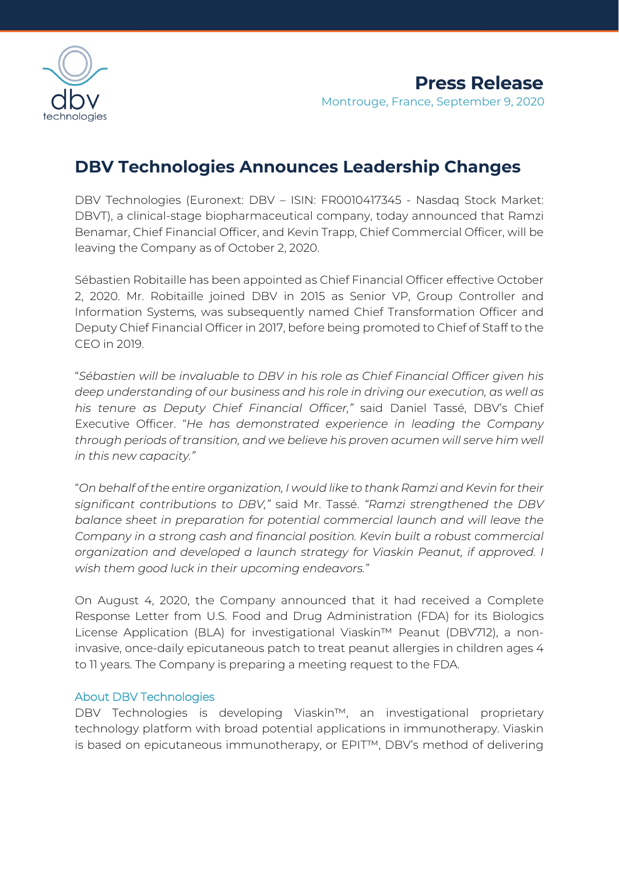

## **DBV Technologies Announces Leadership Changes**

DBV Technologies (Euronext: DBV – ISIN: FR0010417345 - Nasdaq Stock Market: DBVT), a clinical-stage biopharmaceutical company, today announced that Ramzi Benamar, Chief Financial Officer, and Kevin Trapp, Chief Commercial Officer, will be leaving the Company as of October 2, 2020.

Sébastien Robitaille has been appointed as Chief Financial Officer effective October 2, 2020. Mr. Robitaille joined DBV in 2015 as Senior VP, Group Controller and Information Systems, was subsequently named Chief Transformation Officer and Deputy Chief Financial Officer in 2017, before being promoted to Chief of Staff to the CEO in 2019.

"*Sébastien will be invaluable to DBV in his role as Chief Financial Officer given his deep understanding of our business and his role in driving our execution, as well as his tenure as Deputy Chief Financial Officer,"* said Daniel Tassé, DBV's Chief Executive Officer. "*He has demonstrated experience in leading the Company through periods of transition, and we believe his proven acumen will serve him well in this new capacity."*

"*On behalf of the entire organization, I would like to thank Ramzi and Kevin for their significant contributions to DBV,"* said Mr. Tassé. *"Ramzi strengthened the DBV balance sheet in preparation for potential commercial launch and will leave the Company in a strong cash and financial position. Kevin built a robust commercial organization and developed a launch strategy for Viaskin Peanut, if approved. I wish them good luck in their upcoming endeavors."*

On August 4, 2020, the Company announced that it had received a Complete Response Letter from U.S. Food and Drug Administration (FDA) for its Biologics License Application (BLA) for investigational Viaskin™ Peanut (DBV712), a noninvasive, once-daily epicutaneous patch to treat peanut allergies in children ages 4 to 11 years. The Company is preparing a meeting request to the FDA.

### About DBV Technologies

DBV Technologies is developing Viaskin™, an investigational proprietary technology platform with broad potential applications in immunotherapy. Viaskin is based on epicutaneous immunotherapy, or EPIT™, DBV's method of delivering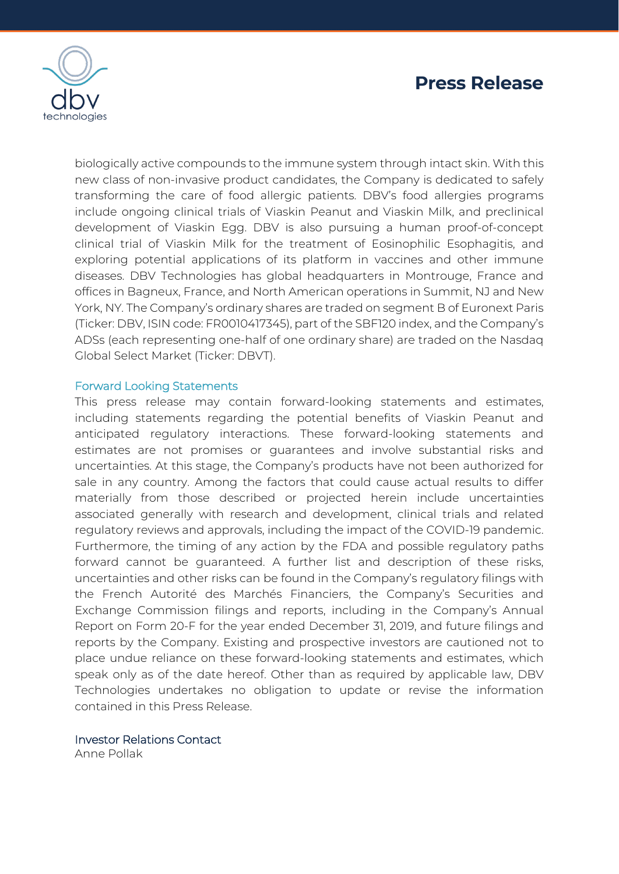

biologically active compounds to the immune system through intact skin. With this new class of non-invasive product candidates, the Company is dedicated to safely transforming the care of food allergic patients. DBV's food allergies programs include ongoing clinical trials of Viaskin Peanut and Viaskin Milk, and preclinical development of Viaskin Egg. DBV is also pursuing a human proof-of-concept clinical trial of Viaskin Milk for the treatment of Eosinophilic Esophagitis, and exploring potential applications of its platform in vaccines and other immune diseases. DBV Technologies has global headquarters in Montrouge, France and offices in Bagneux, France, and North American operations in Summit, NJ and New York, NY. The Company's ordinary shares are traded on segment B of Euronext Paris (Ticker: DBV, ISIN code: FR0010417345), part of the SBF120 index, and the Company's ADSs (each representing one-half of one ordinary share) are traded on the Nasdaq Global Select Market (Ticker: DBVT).

### Forward Looking Statements

This press release may contain forward-looking statements and estimates, including statements regarding the potential benefits of Viaskin Peanut and anticipated regulatory interactions. These forward-looking statements and estimates are not promises or guarantees and involve substantial risks and uncertainties. At this stage, the Company's products have not been authorized for sale in any country. Among the factors that could cause actual results to differ materially from those described or projected herein include uncertainties associated generally with research and development, clinical trials and related regulatory reviews and approvals, including the impact of the COVID-19 pandemic. Furthermore, the timing of any action by the FDA and possible regulatory paths forward cannot be guaranteed. A further list and description of these risks, uncertainties and other risks can be found in the Company's regulatory filings with the French Autorité des Marchés Financiers, the Company's Securities and Exchange Commission filings and reports, including in the Company's Annual Report on Form 20-F for the year ended December 31, 2019, and future filings and reports by the Company. Existing and prospective investors are cautioned not to place undue reliance on these forward-looking statements and estimates, which speak only as of the date hereof. Other than as required by applicable law, DBV Technologies undertakes no obligation to update or revise the information contained in this Press Release.

#### Investor Relations Contact

Anne Pollak